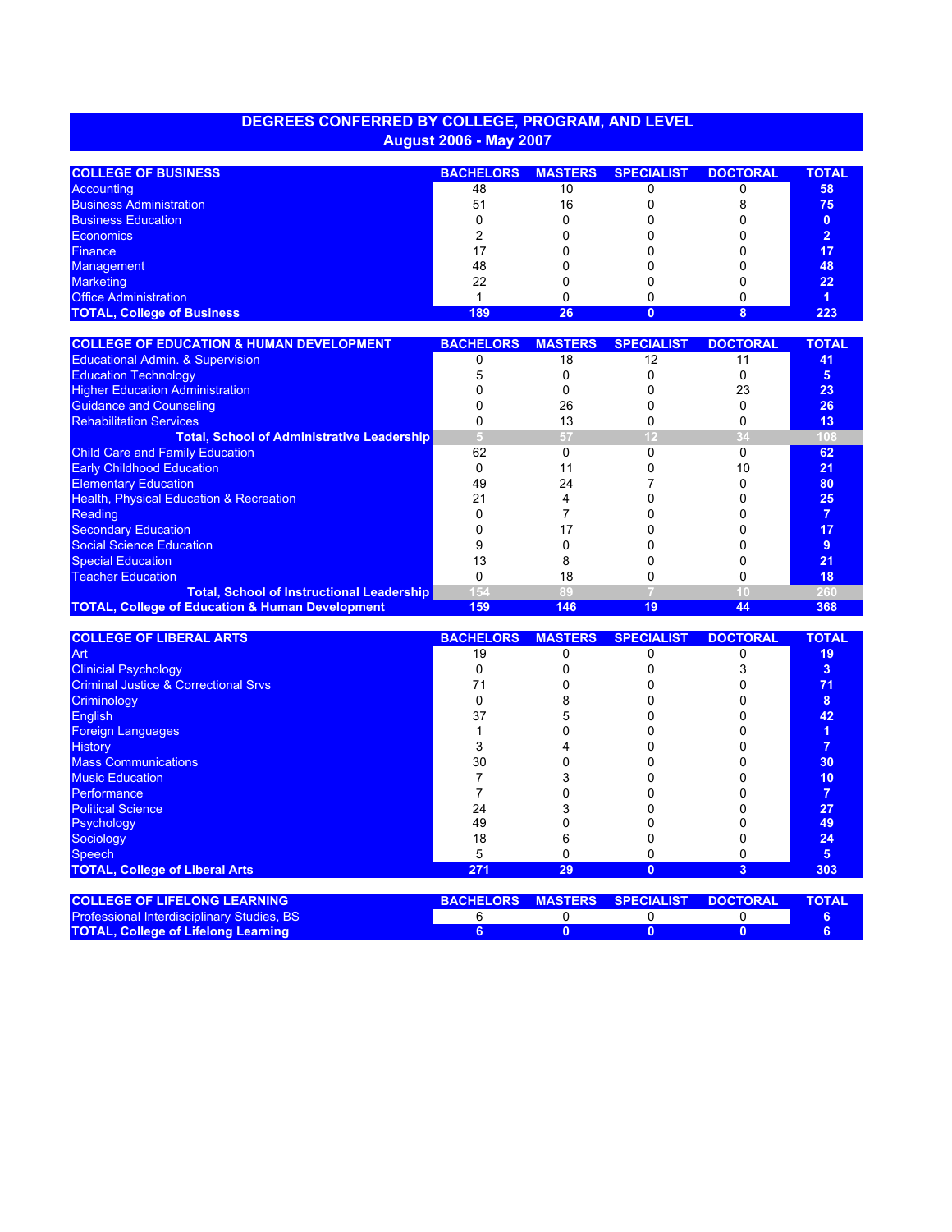## **DEGREES CONFERRED BY COLLEGE, PROGRAM, AND LEVEL August 2006 - May 2007**

| <b>COLLEGE OF BUSINESS</b>        | <b>BACHELORS</b> | <b>MASTERS</b> | <b>SPECIALIST</b> | <b>DOCTORAL</b> | <b>TOTAL</b> |
|-----------------------------------|------------------|----------------|-------------------|-----------------|--------------|
| Accounting                        | 48               | 10             |                   |                 | 58           |
| <b>Business Administration</b>    | 51               | 16             |                   |                 | 75           |
| <b>Business Education</b>         |                  |                |                   |                 |              |
| <b>Economics</b>                  |                  |                |                   |                 |              |
| <b>Finance</b>                    |                  |                |                   |                 | 17           |
| <b>Management</b>                 | 48               |                |                   |                 | 48           |
| <b>Marketing</b>                  | 22               |                |                   |                 | 22           |
| <b>Office Administration</b>      |                  |                |                   |                 |              |
| <b>TOTAL, College of Business</b> | 189              | 26             |                   |                 | 223          |

| <b>COLLEGE OF EDUCATION &amp; HUMAN DEVELOPMENT</b>        | <b>BACHELORS</b> | <b>MASTERS</b> | <b>SPECIALIST</b> | <b>DOCTORAL</b> | <b>TOTAL</b> |
|------------------------------------------------------------|------------------|----------------|-------------------|-----------------|--------------|
| <b>Educational Admin. &amp; Supervision</b>                |                  | 18             | 12                |                 | 41           |
| <b>Education Technology</b>                                |                  |                |                   |                 | 5            |
| <b>Higher Education Administration</b>                     |                  |                |                   | 23              | 23           |
| <b>Guidance and Counseling</b>                             |                  | 26             |                   |                 | 26           |
| <b>Rehabilitation Services</b>                             |                  |                |                   |                 | 13           |
| <b>Total, School of Administrative Leadership</b>          |                  | 57             |                   |                 | 108          |
| <b>Child Care and Family Education</b>                     | 62               |                |                   |                 | 62           |
| <b>Early Childhood Education</b>                           |                  |                |                   |                 | 21           |
| <b>Elementary Education</b>                                | 49               | 24             |                   |                 | 80           |
| <b>Health, Physical Education &amp; Recreation</b>         | 21               |                |                   |                 | 25           |
| Reading                                                    |                  |                |                   |                 |              |
| <b>Secondary Education</b>                                 |                  |                |                   |                 | 17           |
| Social Science Education                                   |                  |                |                   |                 |              |
| <b>Special Education</b>                                   |                  |                |                   |                 | 21           |
| <b>Teacher Education</b>                                   |                  |                |                   |                 | 18           |
| <b>Total, School of Instructional Leadership</b>           | 154              | 89             |                   |                 | 260          |
| <b>TOTAL, College of Education &amp; Human Development</b> | 159              | 146            | 19                | 44              | 368          |

| <b>COLLEGE OF LIBERAL ARTS</b>                  | <b>BACHELORS</b> | <b>MASTERS</b> | <b>SPECIALIST</b> | <b>DOCTORAL</b> | <b>TOTAL</b> |
|-------------------------------------------------|------------------|----------------|-------------------|-----------------|--------------|
| <b>Art</b>                                      | 19               |                |                   |                 | 19           |
| <b>Clinicial Psychology</b>                     |                  |                |                   |                 | 3            |
| <b>Criminal Justice &amp; Correctional Srvs</b> |                  |                |                   |                 | 71           |
| Criminology                                     |                  |                |                   |                 | 8            |
| <b>English</b>                                  | 37               |                |                   |                 | 42           |
| <b>Foreign Languages</b>                        |                  |                |                   |                 |              |
| <b>History</b>                                  |                  |                |                   |                 |              |
| <b>Mass Communications</b>                      | 30               |                |                   |                 | 30           |
| <b>Music Education</b>                          |                  |                |                   |                 | 10           |
| Performance                                     |                  |                |                   |                 |              |
| <b>Political Science</b>                        | 24               |                |                   |                 | 27           |
| Psychology                                      | 49               |                |                   |                 | 49           |
| Sociology                                       | 18               |                |                   |                 | 24           |
| <b>Speech</b>                                   | 5                |                |                   |                 | 5            |
| <b>TOTAL, College of Liberal Arts</b>           | 271              | 29             | $\Omega$          | 3               | 303          |
| <b>COLLEGE OF LIFELONG LEARNING</b>             | <b>BACHELORS</b> | <b>MASTERS</b> | <b>SPECIALIST</b> | <b>DOCTORAL</b> | <b>TOTAL</b> |

| ICOLLEGE OF LIFELONG LEARNING                     |  | <b>DAUTELURS MASIERS SPECIALISI DUCTURAL</b> | <u>. IUIAL</u> |
|---------------------------------------------------|--|----------------------------------------------|----------------|
| <b>Professional Interdisciplinary Studies, BS</b> |  |                                              |                |
| <b>TOTAL, College of Lifelong Learning</b>        |  |                                              |                |